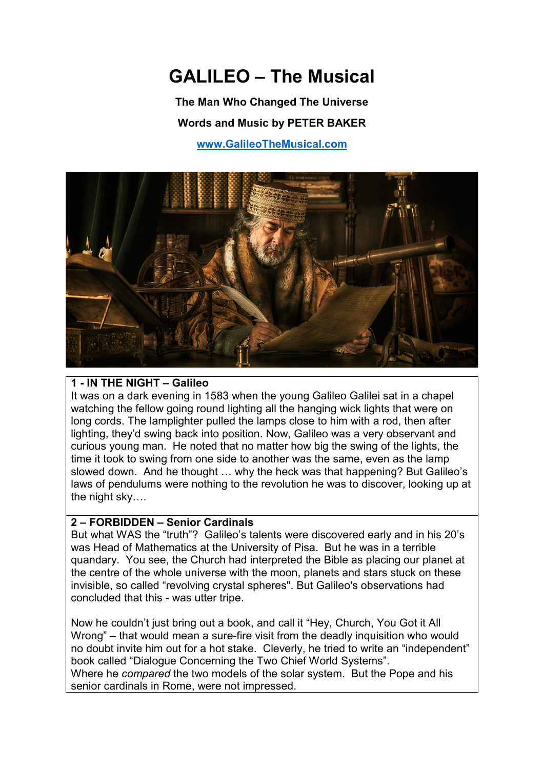# **GALILEO – The Musical**

**The Man Who Changed The Universe Words and Music by PETER BAKER [www.GalileoTheMusical.com](http://www.galileothemusical.com/)**



#### **1 - IN THE NIGHT – Galileo**

It was on a dark evening in 1583 when the young Galileo Galilei sat in a chapel watching the fellow going round lighting all the hanging wick lights that were on long cords. The lamplighter pulled the lamps close to him with a rod, then after lighting, they'd swing back into position. Now, Galileo was a very observant and curious young man. He noted that no matter how big the swing of the lights, the time it took to swing from one side to another was the same, even as the lamp slowed down. And he thought … why the heck was that happening? But Galileo's laws of pendulums were nothing to the revolution he was to discover, looking up at the night sky….

#### **2 – FORBIDDEN – Senior Cardinals**

But what WAS the "truth"? Galileo's talents were discovered early and in his 20's was Head of Mathematics at the University of Pisa. But he was in a terrible quandary. You see, the Church had interpreted the Bible as placing our planet at the centre of the whole universe with the moon, planets and stars stuck on these invisible, so called "revolving crystal spheres". But Galileo's observations had concluded that this - was utter tripe.

Now he couldn't just bring out a book, and call it "Hey, Church, You Got it All Wrong" – that would mean a sure-fire visit from the deadly inquisition who would no doubt invite him out for a hot stake. Cleverly, he tried to write an "independent" book called "Dialogue Concerning the Two Chief World Systems". Where he *compared* the two models of the solar system. But the Pope and his senior cardinals in Rome, were not impressed.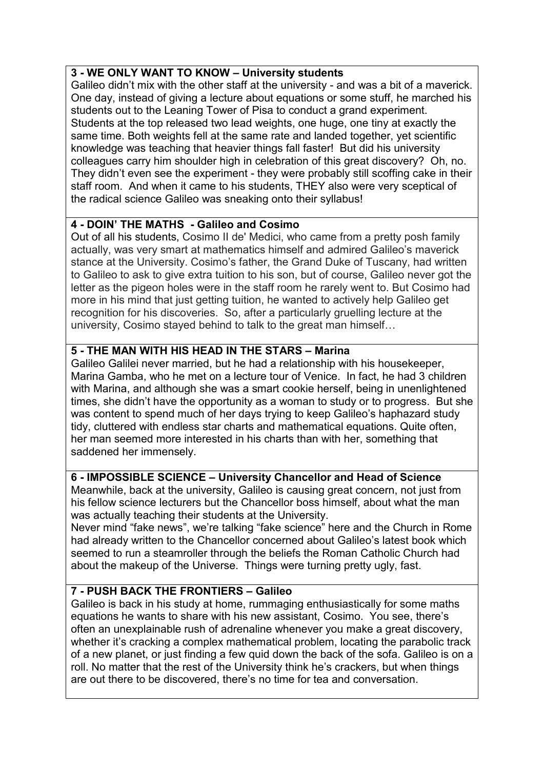# **3 - WE ONLY WANT TO KNOW – University students**

Galileo didn't mix with the other staff at the university - and was a bit of a maverick. One day, instead of giving a lecture about equations or some stuff, he marched his students out to the Leaning Tower of Pisa to conduct a grand experiment. Students at the top released two lead weights, one huge, one tiny at exactly the same time. Both weights fell at the same rate and landed together, yet scientific knowledge was teaching that heavier things fall faster! But did his university colleagues carry him shoulder high in celebration of this great discovery? Oh, no. They didn't even see the experiment - they were probably still scoffing cake in their staff room. And when it came to his students, THEY also were very sceptical of the radical science Galileo was sneaking onto their syllabus!

# **4 - DOIN' THE MATHS - Galileo and Cosimo**

Out of all his students, Cosimo II de' Medici, who came from a pretty posh family actually, was very smart at mathematics himself and admired Galileo's maverick stance at the University. Cosimo's father, the Grand Duke of Tuscany, had written to Galileo to ask to give extra tuition to his son, but of course, Galileo never got the letter as the pigeon holes were in the staff room he rarely went to. But Cosimo had more in his mind that just getting tuition, he wanted to actively help Galileo get recognition for his discoveries. So, after a particularly gruelling lecture at the university, Cosimo stayed behind to talk to the great man himself…

# **5 - THE MAN WITH HIS HEAD IN THE STARS – Marina**

Galileo Galilei never married, but he had a relationship with his housekeeper, Marina Gamba, who he met on a lecture tour of Venice. In fact, he had 3 children with Marina, and although she was a smart cookie herself, being in unenlightened times, she didn't have the opportunity as a woman to study or to progress. But she was content to spend much of her days trying to keep Galileo's haphazard study tidy, cluttered with endless star charts and mathematical equations. Quite often, her man seemed more interested in his charts than with her, something that saddened her immensely.

# **6 - IMPOSSIBLE SCIENCE – University Chancellor and Head of Science**

Meanwhile, back at the university, Galileo is causing great concern, not just from his fellow science lecturers but the Chancellor boss himself, about what the man was actually teaching their students at the University.

Never mind "fake news", we're talking "fake science" here and the Church in Rome had already written to the Chancellor concerned about Galileo's latest book which seemed to run a steamroller through the beliefs the Roman Catholic Church had about the makeup of the Universe. Things were turning pretty ugly, fast.

# **7 - PUSH BACK THE FRONTIERS – Galileo**

Galileo is back in his study at home, rummaging enthusiastically for some maths equations he wants to share with his new assistant, Cosimo. You see, there's often an unexplainable rush of adrenaline whenever you make a great discovery, whether it's cracking a complex mathematical problem, locating the parabolic track of a new planet, or just finding a few quid down the back of the sofa. Galileo is on a roll. No matter that the rest of the University think he's crackers, but when things are out there to be discovered, there's no time for tea and conversation.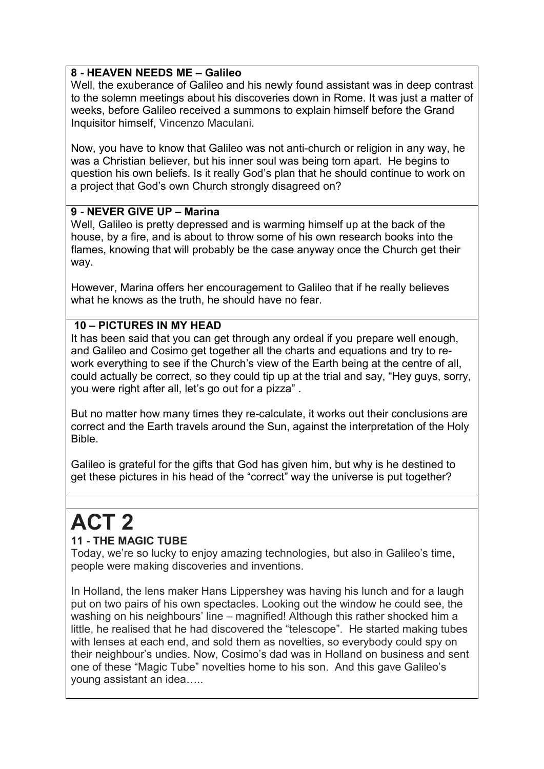# **8 - HEAVEN NEEDS ME – Galileo**

Well, the exuberance of Galileo and his newly found assistant was in deep contrast to the solemn meetings about his discoveries down in Rome. It was just a matter of weeks, before Galileo received a summons to explain himself before the Grand Inquisitor himself, Vincenzo Maculani.

Now, you have to know that Galileo was not anti-church or religion in any way, he was a Christian believer, but his inner soul was being torn apart. He begins to question his own beliefs. Is it really God's plan that he should continue to work on a project that God's own Church strongly disagreed on?

# **9 - NEVER GIVE UP – Marina**

Well, Galileo is pretty depressed and is warming himself up at the back of the house, by a fire, and is about to throw some of his own research books into the flames, knowing that will probably be the case anyway once the Church get their way.

However, Marina offers her encouragement to Galileo that if he really believes what he knows as the truth, he should have no fear.

# **10 – PICTURES IN MY HEAD**

It has been said that you can get through any ordeal if you prepare well enough, and Galileo and Cosimo get together all the charts and equations and try to rework everything to see if the Church's view of the Earth being at the centre of all, could actually be correct, so they could tip up at the trial and say, "Hey guys, sorry, you were right after all, let's go out for a pizza" .

But no matter how many times they re-calculate, it works out their conclusions are correct and the Earth travels around the Sun, against the interpretation of the Holy Bible.

Galileo is grateful for the gifts that God has given him, but why is he destined to get these pictures in his head of the "correct" way the universe is put together?

# **ACT 2**

# **11 - THE MAGIC TUBE**

Today, we're so lucky to enjoy amazing technologies, but also in Galileo's time, people were making discoveries and inventions.

In Holland, the lens maker Hans Lippershey was having his lunch and for a laugh put on two pairs of his own spectacles. Looking out the window he could see, the washing on his neighbours' line – magnified! Although this rather shocked him a little, he realised that he had discovered the "telescope". He started making tubes with lenses at each end, and sold them as novelties, so everybody could spy on their neighbour's undies. Now, Cosimo's dad was in Holland on business and sent one of these "Magic Tube" novelties home to his son. And this gave Galileo's young assistant an idea…..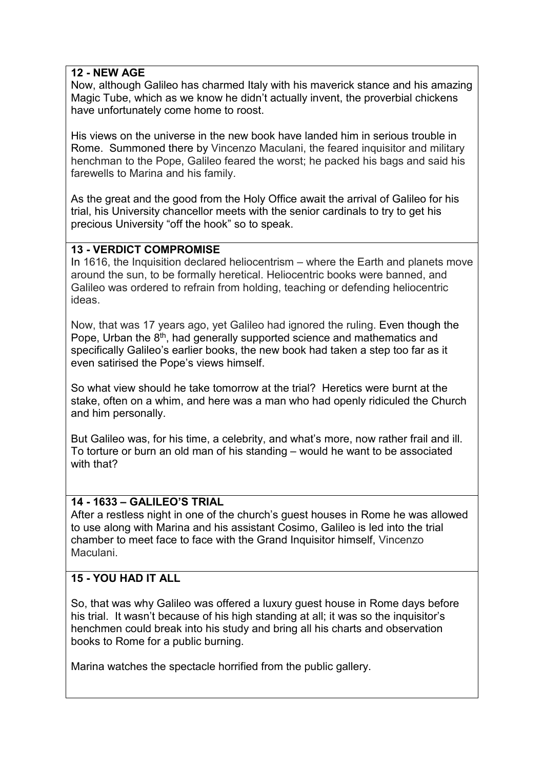#### **12 - NEW AGE**

Now, although Galileo has charmed Italy with his maverick stance and his amazing Magic Tube, which as we know he didn't actually invent, the proverbial chickens have unfortunately come home to roost.

His views on the universe in the new book have landed him in serious trouble in Rome. Summoned there by Vincenzo Maculani, the feared inquisitor and military henchman to the Pope, Galileo feared the worst; he packed his bags and said his farewells to Marina and his family.

As the great and the good from the Holy Office await the arrival of Galileo for his trial, his University chancellor meets with the senior cardinals to try to get his precious University "off the hook" so to speak.

#### **13 - VERDICT COMPROMISE**

In 1616, the Inquisition declared heliocentrism – where the Earth and planets move around the sun, to be formally heretical. Heliocentric books were banned, and Galileo was ordered to refrain from holding, teaching or defending heliocentric ideas.

Now, that was 17 years ago, yet Galileo had ignored the ruling. Even though the Pope, Urban the 8<sup>th</sup>, had generally supported science and mathematics and specifically Galileo's earlier books, the new book had taken a step too far as it even satirised the Pope's views himself.

So what view should he take tomorrow at the trial? Heretics were burnt at the stake, often on a whim, and here was a man who had openly ridiculed the Church and him personally.

But Galileo was, for his time, a celebrity, and what's more, now rather frail and ill. To torture or burn an old man of his standing – would he want to be associated with that?

# **14 - 1633 – GALILEO'S TRIAL**

After a restless night in one of the church's guest houses in Rome he was allowed to use along with Marina and his assistant Cosimo, Galileo is led into the trial chamber to meet face to face with the Grand Inquisitor himself, Vincenzo Maculani.

# **15 - YOU HAD IT ALL**

So, that was why Galileo was offered a luxury guest house in Rome days before his trial. It wasn't because of his high standing at all; it was so the inquisitor's henchmen could break into his study and bring all his charts and observation books to Rome for a public burning.

Marina watches the spectacle horrified from the public gallery.